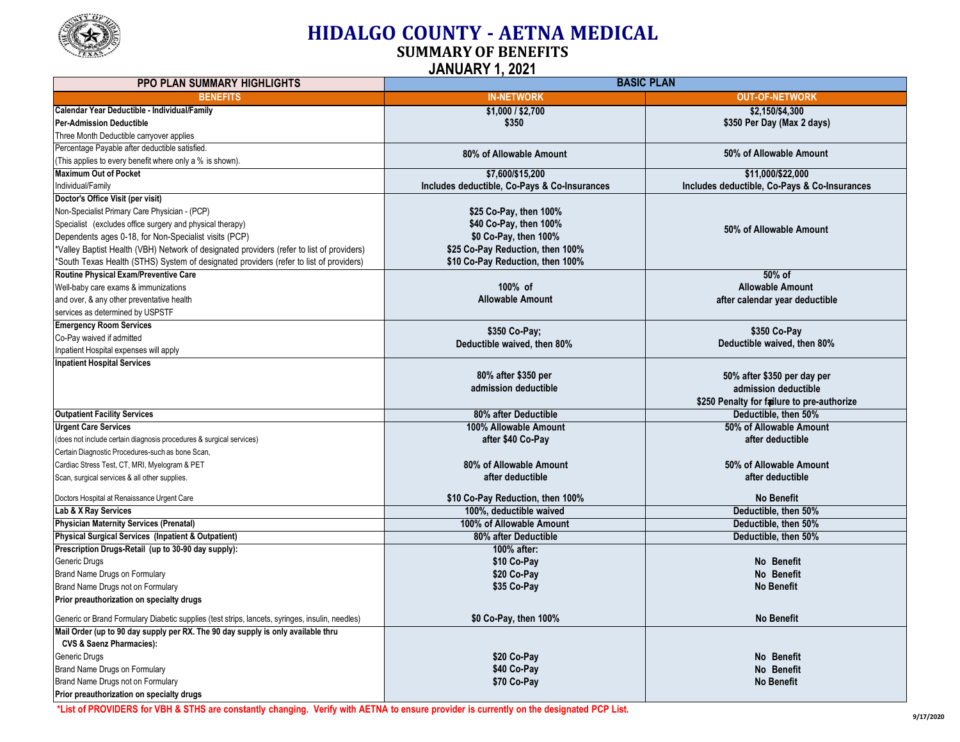

## **HIDALGO COUNTY - AETNA MEDICAL**

**SUMMARY OF BENEFITS**

**JANUARY 1, 2021**

| <b>PPO PLAN SUMMARY HIGHLIGHTS</b>                                                              | <b>BASIC PLAN</b>                            |                                                                    |  |
|-------------------------------------------------------------------------------------------------|----------------------------------------------|--------------------------------------------------------------------|--|
| <b>BENEFITS</b>                                                                                 | <b>IN-NETWORK</b>                            | <b>OUT-OF-NETWORK</b>                                              |  |
| Calendar Year Deductible - Individual/Family                                                    | \$1,000 / \$2,700                            | \$2,150/\$4,300                                                    |  |
| <b>Per-Admission Deductible</b>                                                                 | \$350                                        | \$350 Per Day (Max 2 days)                                         |  |
| Three Month Deductible carryover applies                                                        |                                              |                                                                    |  |
| Percentage Payable after deductible satisfied.                                                  | 80% of Allowable Amount                      | 50% of Allowable Amount                                            |  |
| (This applies to every benefit where only a % is shown).                                        |                                              |                                                                    |  |
| <b>Maximum Out of Pocket</b>                                                                    | \$7.600/\$15.200                             | \$11.000/\$22.000                                                  |  |
| Individual/Family                                                                               | Includes deductible, Co-Pays & Co-Insurances | Includes deductible, Co-Pays & Co-Insurances                       |  |
| Doctor's Office Visit (per visit)                                                               |                                              |                                                                    |  |
| Non-Specialist Primary Care Physician - (PCP)                                                   | \$25 Co-Pay, then 100%                       |                                                                    |  |
| Specialist (excludes office surgery and physical therapy)                                       | \$40 Co-Pay, then 100%                       | 50% of Allowable Amount                                            |  |
| Dependents ages 0-18, for Non-Specialist visits (PCP)                                           | \$0 Co-Pay, then 100%                        |                                                                    |  |
| *Valley Baptist Health (VBH) Network of designated providers (refer to list of providers)       | \$25 Co-Pay Reduction, then 100%             |                                                                    |  |
| *South Texas Health (STHS) System of designated providers (refer to list of providers)          | \$10 Co-Pay Reduction, then 100%             |                                                                    |  |
| Routine Physical Exam/Preventive Care                                                           |                                              | 50% of                                                             |  |
| Well-baby care exams & immunizations                                                            | 100% of                                      | <b>Allowable Amount</b>                                            |  |
| and over, & any other preventative health                                                       | <b>Allowable Amount</b>                      | after calendar year deductible                                     |  |
| services as determined by USPSTF                                                                |                                              |                                                                    |  |
| <b>Emergency Room Services</b>                                                                  | \$350 Co-Pay;                                | \$350 Co-Pay                                                       |  |
| Co-Pay waived if admitted                                                                       | Deductible waived, then 80%                  | Deductible waived, then 80%                                        |  |
| Inpatient Hospital expenses will apply                                                          |                                              |                                                                    |  |
| <b>Inpatient Hospital Services</b>                                                              | 80% after \$350 per                          | 50% after \$350 per day per                                        |  |
|                                                                                                 | admission deductible                         | admission deductible                                               |  |
|                                                                                                 |                                              |                                                                    |  |
| <b>Outpatient Facility Services</b>                                                             | 80% after Deductible                         | \$250 Penalty for failure to pre-authorize<br>Deductible, then 50% |  |
| <b>Urgent Care Services</b>                                                                     | 100% Allowable Amount                        | 50% of Allowable Amount                                            |  |
| (does not include certain diagnosis procedures & surgical services)                             | after \$40 Co-Pay                            | after deductible                                                   |  |
| Certain Diagnostic Procedures-such as bone Scan,                                                |                                              |                                                                    |  |
| Cardiac Stress Test, CT, MRI, Myelogram & PET                                                   | 80% of Allowable Amount                      | 50% of Allowable Amount                                            |  |
| Scan, surgical services & all other supplies.                                                   | after deductible                             | after deductible                                                   |  |
|                                                                                                 |                                              |                                                                    |  |
| Doctors Hospital at Renaissance Urgent Care                                                     | \$10 Co-Pay Reduction, then 100%             | <b>No Benefit</b>                                                  |  |
| Lab & X Ray Services                                                                            | 100%, deductible waived                      | Deductible, then 50%                                               |  |
| <b>Physician Maternity Services (Prenatal)</b>                                                  | 100% of Allowable Amount                     | Deductible, then 50%                                               |  |
| Physical Surgical Services (Inpatient & Outpatient)                                             | 80% after Deductible                         | Deductible, then 50%                                               |  |
| Prescription Drugs-Retail (up to 30-90 day supply):                                             | 100% after:                                  |                                                                    |  |
| Generic Drugs                                                                                   | \$10 Co-Pay                                  | No Benefit                                                         |  |
| Brand Name Drugs on Formulary                                                                   | \$20 Co-Pay                                  | No Benefit                                                         |  |
| Brand Name Drugs not on Formulary                                                               | \$35 Co-Pay                                  | <b>No Benefit</b>                                                  |  |
| Prior preauthorization on specialty drugs                                                       |                                              |                                                                    |  |
| Generic or Brand Formulary Diabetic supplies (test strips, lancets, syringes, insulin, needles) | \$0 Co-Pay, then 100%                        | <b>No Benefit</b>                                                  |  |
| Mail Order (up to 90 day supply per RX. The 90 day supply is only available thru                |                                              |                                                                    |  |
| <b>CVS &amp; Saenz Pharmacies):</b>                                                             |                                              |                                                                    |  |
| Generic Drugs                                                                                   | \$20 Co-Pay                                  | No Benefit                                                         |  |
| Brand Name Drugs on Formulary                                                                   | \$40 Co-Pay                                  | No Benefit                                                         |  |
| Brand Name Drugs not on Formulary                                                               | \$70 Co-Pay                                  | <b>No Benefit</b>                                                  |  |
| Prior preauthorization on specialty drugs                                                       |                                              |                                                                    |  |

\*List of PROVIDERS for VBH & STHS are constantly changing. Verify with AETNA to ensure provider is currently on the designated PCP List.